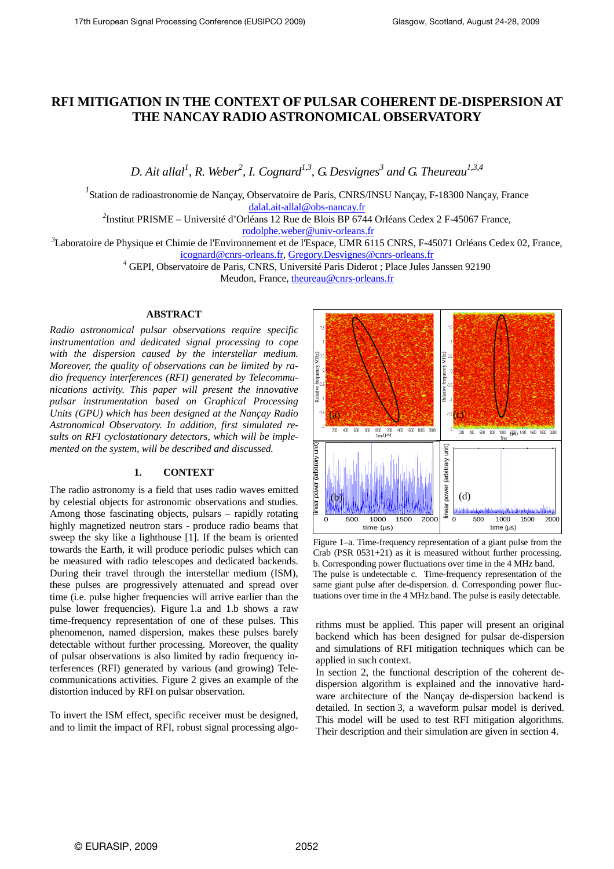# **RFI MITIGATION IN THE CONTEXT OF PULSAR COHERENT DE-DISPERSION AT THE NANCAY RADIO ASTRONOMICAL OBSERVATORY**

*D. Ait allal<sup>1</sup> , R. Weber<sup>2</sup> , I. Cognard1,3, G. Desvignes<sup>3</sup> and G. Theureau1,3,4* 

*1* Station de radioastronomie de Nançay, Observatoire de Paris, CNRS/INSU Nançay, F-18300 Nançay, France dalal.ait-allal@obs-nancay.fr

<sup>2</sup>Institut PRISME – Université d'Orléans 12 Rue de Blois BP 6744 Orléans Cedex 2 F-45067 France, rodolphe.weber@univ-orleans.fr

*<sup>3</sup>*Laboratoire de Physique et Chimie de l'Environnement et de l'Espace, UMR 6115 CNRS, F-45071 Orléans Cedex 02, France, icognard@cnrs-orleans.fr, Gregory.Desvignes@cnrs-orleans.fr

*4* GEPI, Observatoire de Paris, CNRS, Université Paris Diderot ; Place Jules Janssen 92190

Meudon, France, theureau@cnrs-orleans.fr

# **ABSTRACT**

*Radio astronomical pulsar observations require specific instrumentation and dedicated signal processing to cope with the dispersion caused by the interstellar medium. Moreover, the quality of observations can be limited by radio frequency interferences (RFI) generated by Telecommunications activity. This paper will present the innovative pulsar instrumentation based on Graphical Processing Units (GPU) which has been designed at the Nançay Radio Astronomical Observatory. In addition, first simulated results on RFI cyclostationary detectors, which will be implemented on the system, will be described and discussed.* 

# **1. CONTEXT**

The radio astronomy is a field that uses radio waves emitted by celestial objects for astronomic observations and studies. Among those fascinating objects, pulsars – rapidly rotating highly magnetized neutron stars - produce radio beams that sweep the sky like a lighthouse [1]. If the beam is oriented towards the Earth, it will produce periodic pulses which can be measured with radio telescopes and dedicated backends. During their travel through the interstellar medium (ISM), these pulses are progressively attenuated and spread over time (i.e. pulse higher frequencies will arrive earlier than the pulse lower frequencies). Figure 1.a and 1.b shows a raw time-frequency representation of one of these pulses. This phenomenon, named dispersion, makes these pulses barely detectable without further processing. Moreover, the quality of pulsar observations is also limited by radio frequency interferences (RFI) generated by various (and growing) Telecommunications activities. Figure 2 gives an example of the distortion induced by RFI on pulsar observation.

To invert the ISM effect, specific receiver must be designed, and to limit the impact of RFI, robust signal processing algo-



Figure 1–a. Time-frequency representation of a giant pulse from the Crab (PSR 0531+21) as it is measured without further processing. b. Corresponding power fluctuations over time in the 4 MHz band. The pulse is undetectable c. Time-frequency representation of the same giant pulse after de-dispersion. d. Corresponding power fluctuations over time in the 4 MHz band. The pulse is easily detectable.

rithms must be applied. This paper will present an original backend which has been designed for pulsar de-dispersion and simulations of RFI mitigation techniques which can be applied in such context.

In section 2, the functional description of the coherent dedispersion algorithm is explained and the innovative hardware architecture of the Nançay de-dispersion backend is detailed. In section 3, a waveform pulsar model is derived. This model will be used to test RFI mitigation algorithms. Their description and their simulation are given in section 4.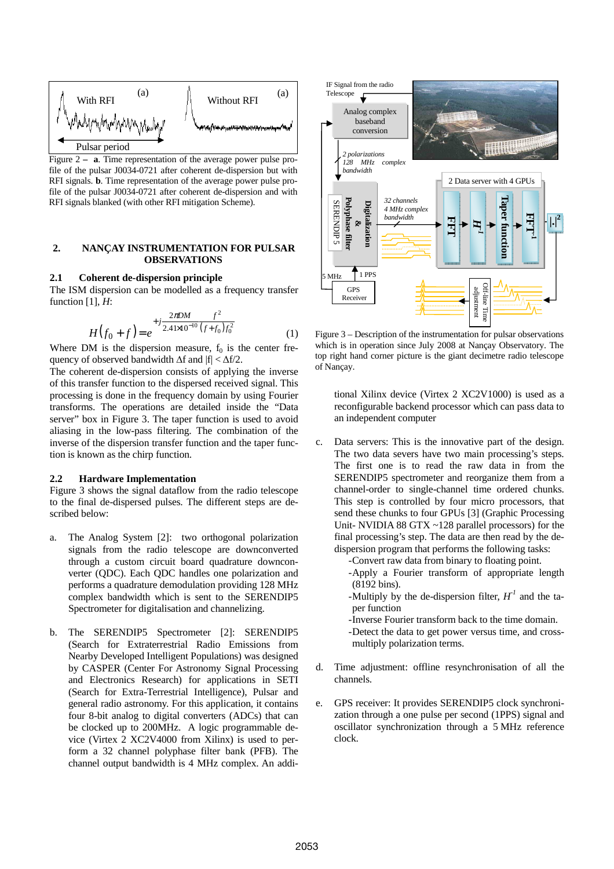

Figure 2 **– a**. Time representation of the average power pulse profile of the pulsar J0034-0721 after coherent de-dispersion but with RFI signals. **b**. Time representation of the average power pulse profile of the pulsar J0034-0721 after coherent de-dispersion and with RFI signals blanked (with other RFI mitigation Scheme).

#### **2. NANÇAY INSTRUMENTATION FOR PULSAR OBSERVATIONS**

#### **2.1 Coherent de-dispersion principle**

The ISM dispersion can be modelled as a frequency transfer function [1], *H*:

$$
H(f_0 + f) = e^{+j\frac{2\pi D M}{2.41 \times 10^{-10}} \frac{f^2}{(f + f_0)f_0^2}}
$$
(1)

Where DM is the dispersion measure,  $f_0$  is the center frequency of observed bandwidth  $\Delta f$  and  $|f| < \Delta f/2$ .

The coherent de-dispersion consists of applying the inverse of this transfer function to the dispersed received signal. This processing is done in the frequency domain by using Fourier transforms. The operations are detailed inside the "Data server" box in Figure 3. The taper function is used to avoid aliasing in the low-pass filtering. The combination of the inverse of the dispersion transfer function and the taper function is known as the chirp function.

#### **2.2 Hardware Implementation**

Figure 3 shows the signal dataflow from the radio telescope to the final de-dispersed pulses. The different steps are described below:

- a. The Analog System [2]: two orthogonal polarization signals from the radio telescope are downconverted through a custom circuit board quadrature downconverter (QDC). Each QDC handles one polarization and performs a quadrature demodulation providing 128 MHz complex bandwidth which is sent to the SERENDIP5 Spectrometer for digitalisation and channelizing.
- b. The SERENDIP5 Spectrometer [2]: SERENDIP5 (Search for Extraterrestrial Radio Emissions from Nearby Developed Intelligent Populations) was designed by CASPER (Center For Astronomy Signal Processing and Electronics Research) for applications in SETI (Search for Extra-Terrestrial Intelligence), Pulsar and general radio astronomy. For this application, it contains four 8-bit analog to digital converters (ADCs) that can be clocked up to 200MHz. A logic programmable device (Virtex 2 XC2V4000 from Xilinx) is used to perform a 32 channel polyphase filter bank (PFB). The channel output bandwidth is 4 MHz complex. An addi-



Figure 3 – Description of the instrumentation for pulsar observations which is in operation since July 2008 at Nançay Observatory. The top right hand corner picture is the giant decimetre radio telescope of Nançay.

tional Xilinx device (Virtex 2 XC2V1000) is used as a reconfigurable backend processor which can pass data to an independent computer

- c. Data servers: This is the innovative part of the design. The two data severs have two main processing's steps. The first one is to read the raw data in from the SERENDIP5 spectrometer and reorganize them from a channel-order to single-channel time ordered chunks. This step is controlled by four micro processors, that send these chunks to four GPUs [3] (Graphic Processing Unit- NVIDIA 88 GTX ~128 parallel processors) for the final processing's step. The data are then read by the dedispersion program that performs the following tasks:
	- -Convert raw data from binary to floating point.
	- -Apply a Fourier transform of appropriate length (8192 bins).
	- -Multiply by the de-dispersion filter,  $H^1$  and the taper function
	- -Inverse Fourier transform back to the time domain.
	- -Detect the data to get power versus time, and crossmultiply polarization terms.
- d. Time adjustment: offline resynchronisation of all the channels.
- e. GPS receiver: It provides SERENDIP5 clock synchronization through a one pulse per second (1PPS) signal and oscillator synchronization through a 5 MHz reference clock.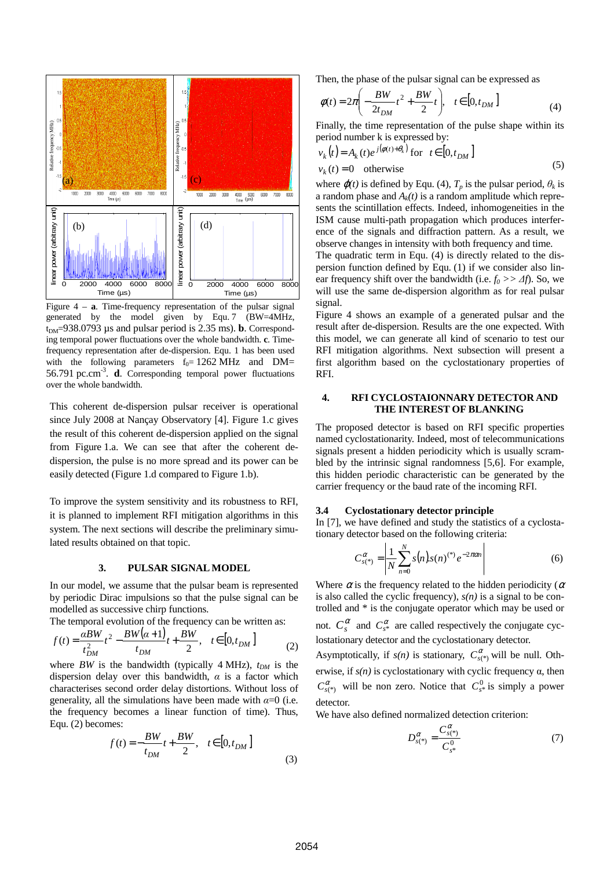

Figure 4 – **a**. Time-frequency representation of the pulsar signal generated by the model given by Equ. 7 (BW=4MHz,  $t_{DM}$ =938.0793 µs and pulsar period is 2.35 ms). **b**. Corresponding temporal power fluctuations over the whole bandwidth. **c**. Timefrequency representation after de-dispersion. Equ. 1 has been used with the following parameters  $f_0 = 1262 \text{ MHz}$  and DM= 56.791 pc.cm<sup>-3</sup>. **d**. Corresponding temporal power fluctuations over the whole bandwidth.

This coherent de-dispersion pulsar receiver is operational since July 2008 at Nançay Observatory [4]. Figure 1.c gives the result of this coherent de-dispersion applied on the signal from Figure 1.a. We can see that after the coherent dedispersion, the pulse is no more spread and its power can be easily detected (Figure 1.d compared to Figure 1.b).

To improve the system sensitivity and its robustness to RFI, it is planned to implement RFI mitigation algorithms in this system. The next sections will describe the preliminary simulated results obtained on that topic.

### **3. PULSAR SIGNAL MODEL**

In our model, we assume that the pulsar beam is represented by periodic Dirac impulsions so that the pulse signal can be modelled as successive chirp functions.

The temporal evolution of the frequency can be written as:

$$
f(t) = \frac{aBW}{t_{DM}^2}t^2 - \frac{BW(\alpha+1)}{t_{DM}}t + \frac{BW}{2}, \quad t \in [0, t_{DM}]
$$
 (2)

where *BW* is the bandwidth (typically 4 MHz),  $t_{DM}$  is the dispersion delay over this bandwidth, *α* is a factor which characterises second order delay distortions. Without loss of generality, all the simulations have been made with  $\alpha=0$  (i.e. the frequency becomes a linear function of time). Thus, Equ. (2) becomes:

$$
f(t) = -\frac{BW}{t_{DM}}t + \frac{BW}{2}, \quad t \in [0, t_{DM}]
$$
 (3)

Then, the phase of the pulsar signal can be expressed as

$$
\phi(t) = 2\pi \left( -\frac{BW}{2t_{DM}}t^2 + \frac{BW}{2}t \right), \quad t \in [0, t_{DM}]
$$
 (4)

Finally, the time representation of the pulse shape within its period number k is expressed by:

$$
v_k(t) = A_k(t)e^{j(\phi(t)+\theta_k)} \text{ for } t \in [0, t_{DM}]
$$
  
\n
$$
v_k(t) = 0 \quad \text{otherwise}
$$
 (5)

where  $\varphi(t)$  is defined by Equ. (4),  $T_p$  is the pulsar period,  $\theta_k$  is a random phase and  $A_k(t)$  is a random amplitude which represents the scintillation effects. Indeed, inhomogeneities in the ISM cause multi-path propagation which produces interference of the signals and diffraction pattern. As a result, we observe changes in intensity with both frequency and time.

The quadratic term in Equ. (4) is directly related to the dispersion function defined by Equ. (1) if we consider also linear frequency shift over the bandwidth (i.e.  $f_0 \gg \Delta f$ ). So, we will use the same de-dispersion algorithm as for real pulsar signal.

Figure 4 shows an example of a generated pulsar and the result after de-dispersion. Results are the one expected. With this model, we can generate all kind of scenario to test our RFI mitigation algorithms. Next subsection will present a first algorithm based on the cyclostationary properties of RFI.

### **4. RFI CYCLOSTAIONNARY DETECTOR AND THE INTEREST OF BLANKING**

The proposed detector is based on RFI specific properties named cyclostationarity. Indeed, most of telecommunications signals present a hidden periodicity which is usually scrambled by the intrinsic signal randomness [5,6]. For example, this hidden periodic characteristic can be generated by the carrier frequency or the baud rate of the incoming RFI.

#### **3.4 Cyclostationary detector principle**

In [7], we have defined and study the statistics of a cyclostationary detector based on the following criteria:

$$
C_{s(*)}^{\alpha} = \left| \frac{1}{N} \sum_{n=0}^{N} s(n) s(n)^{(*)} e^{-2\pi \alpha n} \right| \tag{6}
$$

Where  $\alpha$  is the frequency related to the hidden periodicity ( $\alpha$ ) is also called the cyclic frequency),  $s(n)$  is a signal to be controlled and \* is the conjugate operator which may be used or

not.  $C_s^{\alpha}$  and  $C_{s^*}^{\alpha}$  are called respectively the conjugate cyclostationary detector and the cyclostationary detector.

Asymptotically, if  $s(n)$  is stationary,  $C_{s(\ast)}^{\alpha}$  will be null. Otherwise, if *s(n)* is cyclostationary with cyclic frequency α, then  $C_{s(*)}^{\alpha}$  will be non zero. Notice that  $C_{s*}^{0}$  is simply a power detector.

We have also defined normalized detection criterion:

$$
D_{s(*)}^{\alpha} = \frac{C_{s(*)}^{\alpha}}{C_{s*}^{\alpha}}
$$
 (7)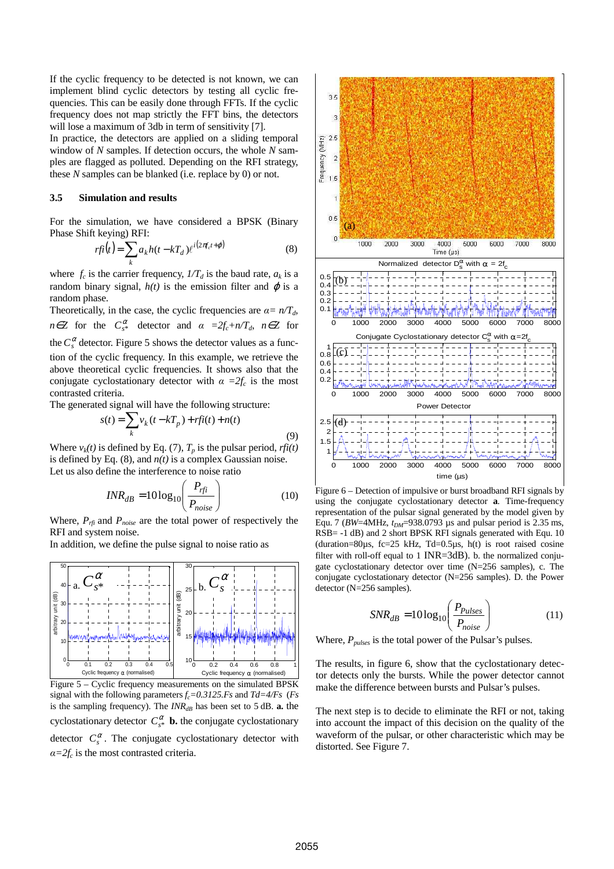If the cyclic frequency to be detected is not known, we can implement blind cyclic detectors by testing all cyclic frequencies. This can be easily done through FFTs. If the cyclic frequency does not map strictly the FFT bins, the detectors will lose a maximum of 3db in term of sensitivity [7].

In practice, the detectors are applied on a sliding temporal window of *N* samples. If detection occurs, the whole *N* samples are flagged as polluted. Depending on the RFI strategy, these *N* samples can be blanked (i.e. replace by 0) or not.

# **3.5 Simulation and results**

For the simulation, we have considered a BPSK (Binary Phase Shift keying) RFI:

$$
rfi(t) = \sum_{k} a_{k} h(t - kT_{d}) \ell^{i(2\pi f_{c}t + \varphi)}
$$
\n(8)

where  $f_c$  is the carrier frequency,  $1/T_d$  is the baud rate,  $a_k$  is a random binary signal,  $h(t)$  is the emission filter and  $\varphi$  is a random phase.

Theoretically, in the case, the cyclic frequencies are  $\alpha = n/T_d$ , *n*∈*Z* for the  $C_{s^*}^{\alpha}$  detector and  $\alpha =2f_c + n/T_d$ ,  $n \in \mathbb{Z}$  for the  $C_s^{\alpha}$  detector. Figure 5 shows the detector values as a function of the cyclic frequency. In this example, we retrieve the above theoretical cyclic frequencies. It shows also that the conjugate cyclostationary detector with  $\alpha = 2f_c$  is the most contrasted criteria.

The generated signal will have the following structure:

$$
s(t) = \sum_{k} v_k (t - kT_p) + rfi(t) + n(t)
$$

Where  $v_k(t)$  is defined by Eq. (7),  $T_p$  is the pulsar period,  $rfi(t)$ is defined by Eq.  $(8)$ , and  $n(t)$  is a complex Gaussian noise. Let us also define the interference to noise ratio

$$
INR_{dB} = 10\log_{10}\left(\frac{P_{rfi}}{P_{noise}}\right) \tag{10}
$$

Where,  $P_{rfi}$  and  $P_{noise}$  are the total power of respectively the RFI and system noise.

In addition, we define the pulse signal to noise ratio as



Figure 5 – Cyclic frequency measurements on the simulated BPSK signal with the following parameters *fc=0.3125.Fs* and *Td=4/Fs* (*Fs* is the sampling frequency). The  $INR<sub>dB</sub>$  has been set to 5 dB. **a.** the cyclostationary detector  $C^{\alpha}_{s*}$  **b.** the conjugate cyclostationary detector  $C_s^{\alpha}$ . The conjugate cyclostationary detector with  $\alpha = 2f_c$  is the most contrasted criteria.



Figure 6 – Detection of impulsive or burst broadband RFI signals by using the conjugate cyclostationary detector **a**. Time-frequency representation of the pulsar signal generated by the model given by Equ. 7 (*BW*=4MHz, *tDM*=938.0793 µs and pulsar period is 2.35 ms, RSB= -1 dB) and 2 short BPSK RFI signals generated with Equ. 10 (duration=80 $\mu$ s, fc=25 kHz, Td=0.5 $\mu$ s, h(t) is root raised cosine filter with roll-off equal to 1 INR=3dB). b. the normalized conjugate cyclostationary detector over time (N=256 samples), c. The conjugate cyclostationary detector (N=256 samples). D. the Power detector (N=256 samples).

$$
SNR_{dB} = 10\log_{10}\left(\frac{P_{Pulses}}{P_{noise}}\right) \tag{11}
$$

Where, *Ppulses* is the total power of the Pulsar's pulses.

The results, in figure 6, show that the cyclostationary detector detects only the bursts. While the power detector cannot make the difference between bursts and Pulsar's pulses.

The next step is to decide to eliminate the RFI or not, taking into account the impact of this decision on the quality of the waveform of the pulsar, or other characteristic which may be distorted. See Figure 7.

(9)